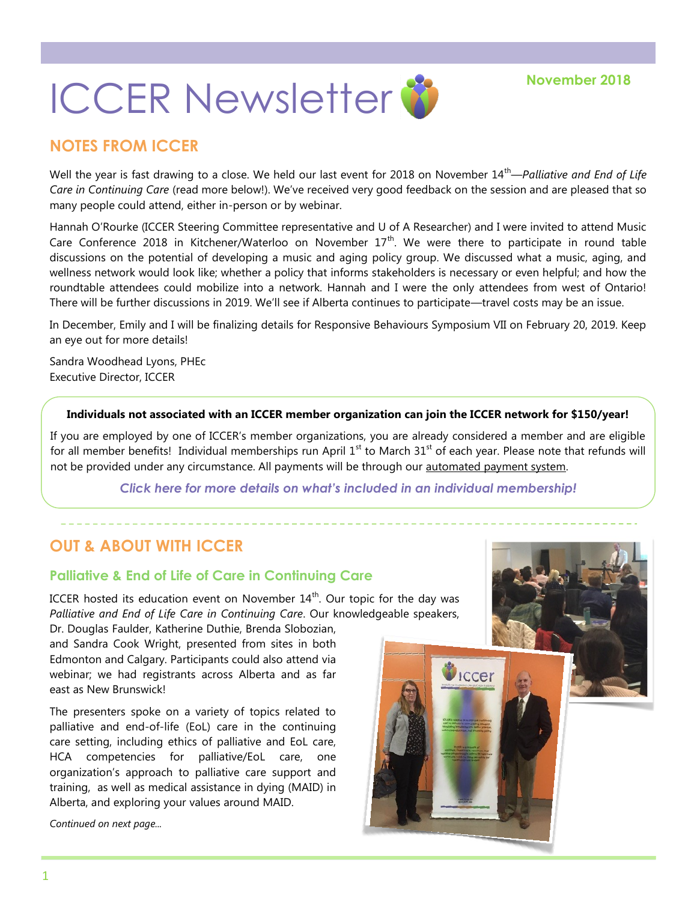# **ICCER Newsletter &** November 2018

## **NOTES FROM ICCER**

Well the year is fast drawing to a close. We held our last event for 2018 on November 14<sup>th</sup>—*Palliative and End of Life Care in Continuing Care* (read more below!). We've received very good feedback on the session and are pleased that so many people could attend, either in-person or by webinar.

Hannah O'Rourke (ICCER Steering Committee representative and U of A Researcher) and I were invited to attend Music Care Conference 2018 in Kitchener/Waterloo on November  $17<sup>th</sup>$ . We were there to participate in round table discussions on the potential of developing a music and aging policy group. We discussed what a music, aging, and wellness network would look like; whether a policy that informs stakeholders is necessary or even helpful; and how the roundtable attendees could mobilize into a network. Hannah and I were the only attendees from west of Ontario! There will be further discussions in 2019. We'll see if Alberta continues to participate—travel costs may be an issue.

In December, Emily and I will be finalizing details for Responsive Behaviours Symposium VII on February 20, 2019. Keep an eye out for more details!

Sandra Woodhead Lyons, PHEc Executive Director, ICCER

#### **Individuals not associated with an ICCER member organization can join the ICCER network for \$150/year!**

If you are employed by one of ICCER's member organizations, you are already considered a member and are eligible for all member benefits! Individual memberships run April  $1<sup>st</sup>$  to March  $31<sup>st</sup>$  of each year. Please note that refunds will not be provided under any circumstance. All payments will be through our [automated payment system.](https://payment.augustana.ualberta.ca/store/Rehab+Medicine+-+ICCER+Store/)

*[Click here for more details on what's included in an individual membership!](http://iccer.ca/im.html)*

# **OUT & ABOUT WITH ICCER**

## **Palliative & End of Life of Care in Continuing Care**

ICCER hosted its education event on November  $14<sup>th</sup>$ . Our topic for the day was *Palliative and End of Life Care in Continuing Care*. Our knowledgeable speakers, Dr. Douglas Faulder, Katherine Duthie, Brenda Slobozian,

and Sandra Cook Wright, presented from sites in both Edmonton and Calgary. Participants could also attend via webinar; we had registrants across Alberta and as far east as New Brunswick!

The presenters spoke on a variety of topics related to palliative and end-of-life (EoL) care in the continuing care setting, including ethics of palliative and EoL care, HCA competencies for palliative/EoL care, one organization's approach to palliative care support and training, as well as medical assistance in dying (MAID) in Alberta, and exploring your values around MAID.

*Continued on next page...*

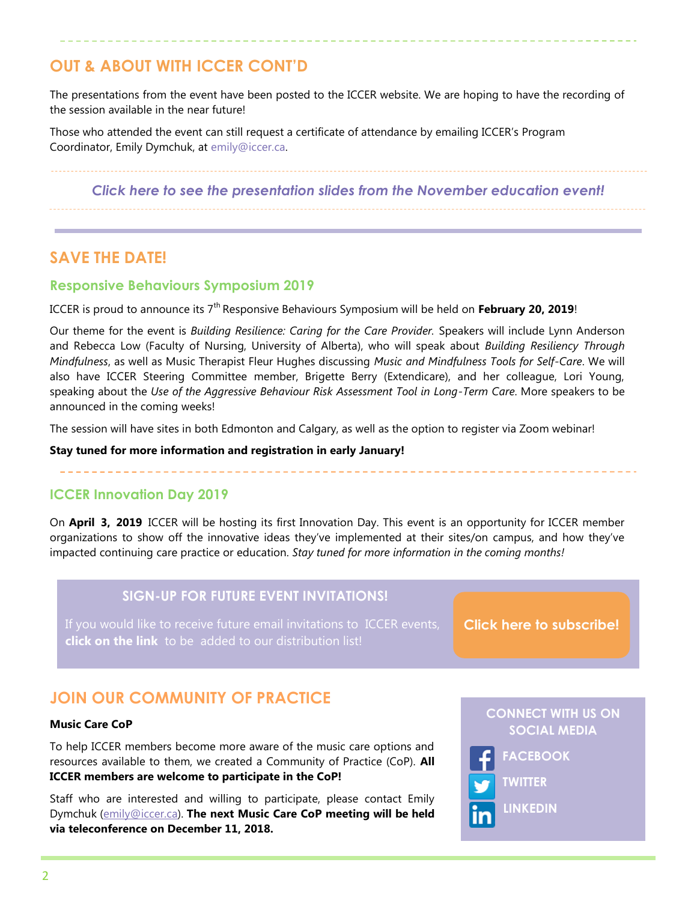# **OUT & ABOUT WITH ICCER CONT'D**

The presentations from the event have been posted to the ICCER website. We are hoping to have the recording of the session available in the near future!

Those who attended the event can still request a certificate of attendance by emailing ICCER's Program Coordinator, Emily Dymchuk, at [emily@iccer.ca.](mailto:emily@iccer.ca)

*[Click here to see the presentation slides from the November education event!](http://iccer.ca/education_sessions.html)*

## **SAVE THE DATE!**

## **Responsive Behaviours Symposium 2019**

ICCER is proud to announce its 7th Responsive Behaviours Symposium will be held on **February 20, 2019**!

Our theme for the event is *Building Resilience: Caring for the Care Provider.* Speakers will include Lynn Anderson and Rebecca Low (Faculty of Nursing, University of Alberta), who will speak about *Building Resiliency Through Mindfulness*, as well as Music Therapist Fleur Hughes discussing *Music and Mindfulness Tools for Self-Care*. We will also have ICCER Steering Committee member, Brigette Berry (Extendicare), and her colleague, Lori Young, speaking about the *Use of the Aggressive Behaviour Risk Assessment Tool in Long-Term Care*. More speakers to be announced in the coming weeks!

The session will have sites in both Edmonton and Calgary, as well as the option to register via Zoom webinar!

#### **Stay tuned for more information and registration in early January!**

## **ICCER Innovation Day 2019**

On **April 3, 2019** ICCER will be hosting its first Innovation Day. This event is an opportunity for ICCER member organizations to show off the innovative ideas they've implemented at their sites/on campus, and how they've impacted continuing care practice or education. *Stay tuned for more information in the coming months!*

## **SIGN-UP FOR FUTURE EVENT INVITATIONS!**

**click on the link** to be added to our distribution list!

**[Click here to subscribe!](https://visitor.r20.constantcontact.com/manage/optin?v=001MqUcqqvjwLD850nipaor0HtdI1Y9d8ED2u9ivDzRV7Gp5uTyf2p54vfsufOQXL7BcGZnnLM-9yRAw3TIqncd_CNV4yZzfE9gE8XUs-KE6So%3D)**

# **JOIN OUR COMMUNITY OF PRACTICE**

#### **Music Care CoP**

To help ICCER members become more aware of the music care options and resources available to them, we created a Community of Practice (CoP). **All ICCER members are welcome to participate in the CoP!** 

Staff who are interested and willing to participate, please contact Emily Dymchuk ([emily@iccer.ca\)](mailto:emily@iccer.ca). **The next Music Care CoP meeting will be held via teleconference on December 11, 2018.**

**CONNECT WITH US ON SOCIAL MEDIA**



**TWITTER**

**FACEBOOK**

**LINKEDIN**